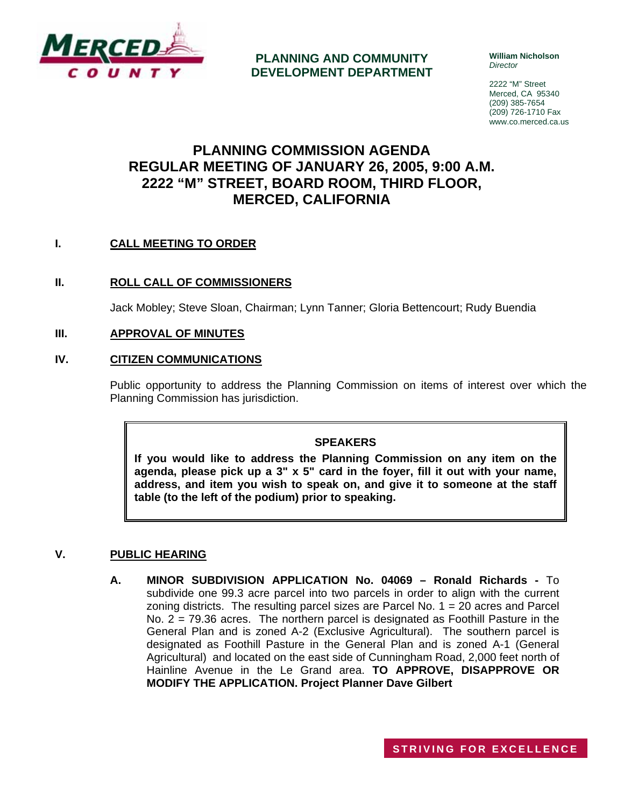

**PLANNING AND COMMUNITY DEVELOPMENT DEPARTMENT** **William Nicholson**  *Director* 

2222 "M" Street Merced, CA 95340 (209) 385-7654 (209) 726-1710 Fax www.co.merced.ca.us

# **PLANNING COMMISSION AGENDA REGULAR MEETING OF JANUARY 26, 2005, 9:00 A.M. 2222 "M" STREET, BOARD ROOM, THIRD FLOOR, MERCED, CALIFORNIA**

# **I. CALL MEETING TO ORDER**

# **II. ROLL CALL OF COMMISSIONERS**

Jack Mobley; Steve Sloan, Chairman; Lynn Tanner; Gloria Bettencourt; Rudy Buendia

## **III. APPROVAL OF MINUTES**

## **IV. CITIZEN COMMUNICATIONS**

Public opportunity to address the Planning Commission on items of interest over which the Planning Commission has jurisdiction.

#### **SPEAKERS**

**If you would like to address the Planning Commission on any item on the agenda, please pick up a 3" x 5" card in the foyer, fill it out with your name, address, and item you wish to speak on, and give it to someone at the staff table (to the left of the podium) prior to speaking.**

# **V. PUBLIC HEARING**

**A. MINOR SUBDIVISION APPLICATION No. 04069 – Ronald Richards -** To subdivide one 99.3 acre parcel into two parcels in order to align with the current zoning districts. The resulting parcel sizes are Parcel No. 1 = 20 acres and Parcel No. 2 = 79.36 acres. The northern parcel is designated as Foothill Pasture in the General Plan and is zoned A-2 (Exclusive Agricultural). The southern parcel is designated as Foothill Pasture in the General Plan and is zoned A-1 (General Agricultural) and located on the east side of Cunningham Road, 2,000 feet north of Hainline Avenue in the Le Grand area. **TO APPROVE, DISAPPROVE OR MODIFY THE APPLICATION. Project Planner Dave Gilbert**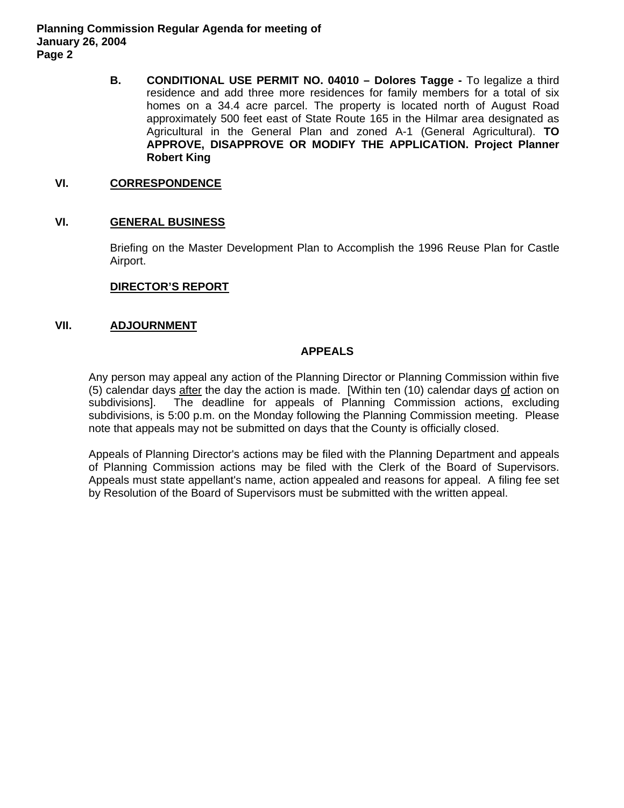**Planning Commission Regular Agenda for meeting of January 26, 2004 Page 2** 

> **B. CONDITIONAL USE PERMIT NO. 04010 – Dolores Tagge -** To legalize a third residence and add three more residences for family members for a total of six homes on a 34.4 acre parcel. The property is located north of August Road approximately 500 feet east of State Route 165 in the Hilmar area designated as Agricultural in the General Plan and zoned A-1 (General Agricultural). **TO APPROVE, DISAPPROVE OR MODIFY THE APPLICATION. Project Planner Robert King**

#### **VI. CORRESPONDENCE**

## **VI. GENERAL BUSINESS**

Briefing on the Master Development Plan to Accomplish the 1996 Reuse Plan for Castle Airport.

#### **DIRECTOR'S REPORT**

## **VII. ADJOURNMENT**

## **APPEALS**

Any person may appeal any action of the Planning Director or Planning Commission within five (5) calendar days after the day the action is made. [Within ten (10) calendar days of action on subdivisions]. The deadline for appeals of Planning Commission actions, excluding subdivisions, is 5:00 p.m. on the Monday following the Planning Commission meeting. Please note that appeals may not be submitted on days that the County is officially closed.

Appeals of Planning Director's actions may be filed with the Planning Department and appeals of Planning Commission actions may be filed with the Clerk of the Board of Supervisors. Appeals must state appellant's name, action appealed and reasons for appeal. A filing fee set by Resolution of the Board of Supervisors must be submitted with the written appeal.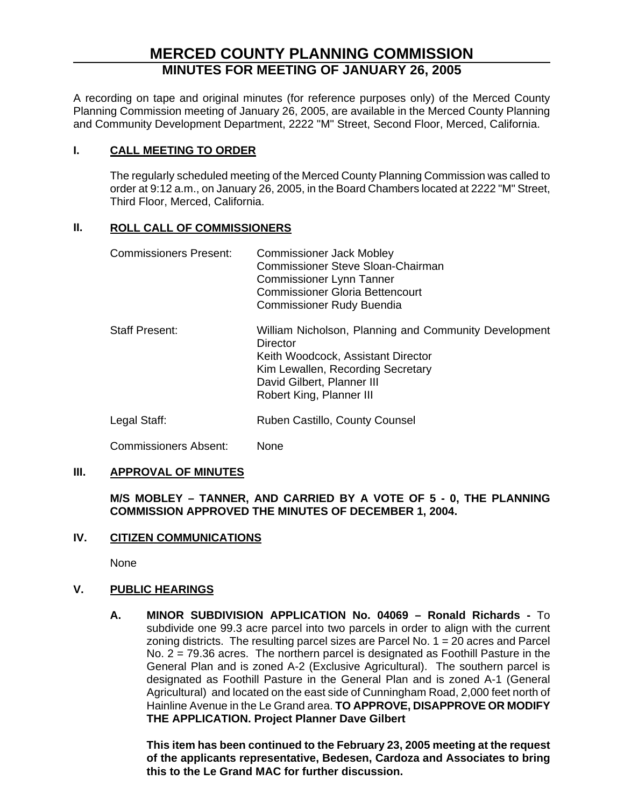# **MERCED COUNTY PLANNING COMMISSION MINUTES FOR MEETING OF JANUARY 26, 2005**

A recording on tape and original minutes (for reference purposes only) of the Merced County Planning Commission meeting of January 26, 2005, are available in the Merced County Planning and Community Development Department, 2222 "M" Street, Second Floor, Merced, California.

# **I. CALL MEETING TO ORDER**

The regularly scheduled meeting of the Merced County Planning Commission was called to order at 9:12 a.m., on January 26, 2005, in the Board Chambers located at 2222 "M" Street, Third Floor, Merced, California.

# **II. ROLL CALL OF COMMISSIONERS**

| <b>Commissioners Present:</b> | <b>Commissioner Jack Mobley</b><br><b>Commissioner Steve Sloan-Chairman</b><br><b>Commissioner Lynn Tanner</b><br><b>Commissioner Gloria Bettencourt</b><br><b>Commissioner Rudy Buendia</b>           |
|-------------------------------|--------------------------------------------------------------------------------------------------------------------------------------------------------------------------------------------------------|
| <b>Staff Present:</b>         | William Nicholson, Planning and Community Development<br>Director<br>Keith Woodcock, Assistant Director<br>Kim Lewallen, Recording Secretary<br>David Gilbert, Planner III<br>Robert King, Planner III |
| Legal Staff:                  | Ruben Castillo, County Counsel                                                                                                                                                                         |

# **III. APPROVAL OF MINUTES**

Commissioners Absent: None

# **M/S MOBLEY – TANNER, AND CARRIED BY A VOTE OF 5 - 0, THE PLANNING COMMISSION APPROVED THE MINUTES OF DECEMBER 1, 2004.**

# **IV. CITIZEN COMMUNICATIONS**

None

# **V. PUBLIC HEARINGS**

**A. MINOR SUBDIVISION APPLICATION No. 04069 – Ronald Richards -** To subdivide one 99.3 acre parcel into two parcels in order to align with the current zoning districts. The resulting parcel sizes are Parcel No.  $1 = 20$  acres and Parcel No. 2 = 79.36 acres. The northern parcel is designated as Foothill Pasture in the General Plan and is zoned A-2 (Exclusive Agricultural). The southern parcel is designated as Foothill Pasture in the General Plan and is zoned A-1 (General Agricultural) and located on the east side of Cunningham Road, 2,000 feet north of Hainline Avenue in the Le Grand area. **TO APPROVE, DISAPPROVE OR MODIFY THE APPLICATION. Project Planner Dave Gilbert**

**This item has been continued to the February 23, 2005 meeting at the request of the applicants representative, Bedesen, Cardoza and Associates to bring this to the Le Grand MAC for further discussion.**